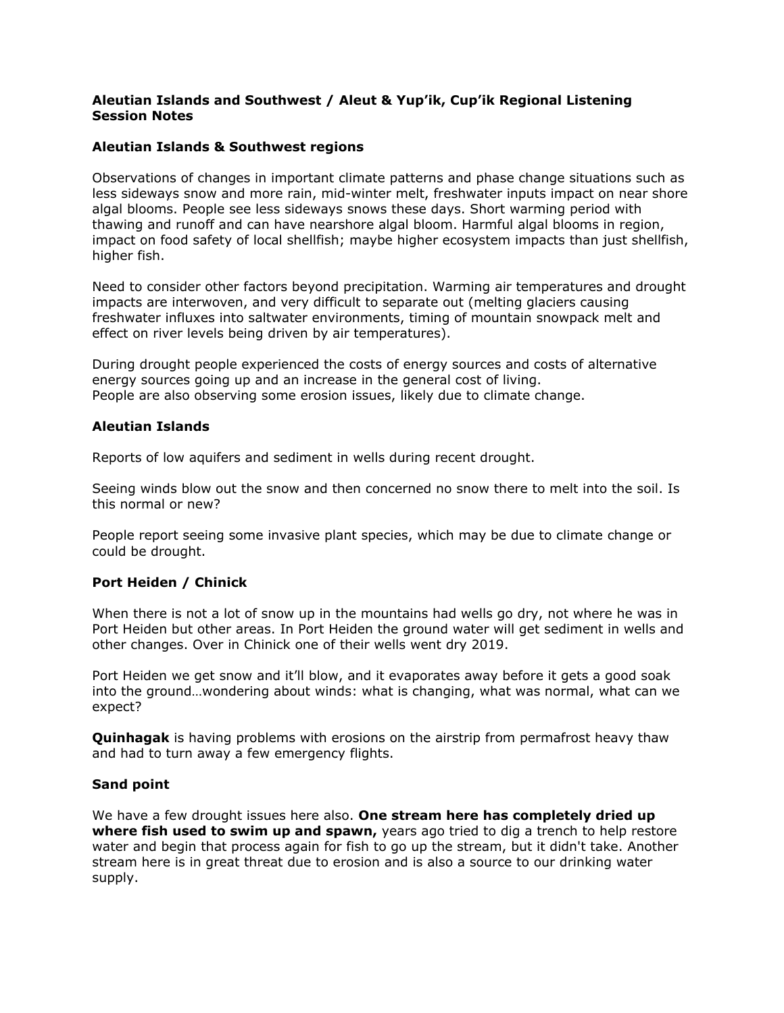### **Aleutian Islands and Southwest / Aleut & Yup'ik, Cup'ik Regional Listening Session Notes**

## **Aleutian Islands & Southwest regions**

Observations of changes in important climate patterns and phase change situations such as less sideways snow and more rain, mid-winter melt, freshwater inputs impact on near shore algal blooms. People see less sideways snows these days. Short warming period with thawing and runoff and can have nearshore algal bloom. Harmful algal blooms in region, impact on food safety of local shellfish; maybe higher ecosystem impacts than just shellfish, higher fish.

Need to consider other factors beyond precipitation. Warming air temperatures and drought impacts are interwoven, and very difficult to separate out (melting glaciers causing freshwater influxes into saltwater environments, timing of mountain snowpack melt and effect on river levels being driven by air temperatures).

During drought people experienced the costs of energy sources and costs of alternative energy sources going up and an increase in the general cost of living. People are also observing some erosion issues, likely due to climate change.

## **Aleutian Islands**

Reports of low aquifers and sediment in wells during recent drought.

Seeing winds blow out the snow and then concerned no snow there to melt into the soil. Is this normal or new?

People report seeing some invasive plant species, which may be due to climate change or could be drought.

#### **Port Heiden / Chinick**

When there is not a lot of snow up in the mountains had wells go dry, not where he was in Port Heiden but other areas. In Port Heiden the ground water will get sediment in wells and other changes. Over in Chinick one of their wells went dry 2019.

Port Heiden we get snow and it'll blow, and it evaporates away before it gets a good soak into the ground…wondering about winds: what is changing, what was normal, what can we expect?

**Quinhagak** is having problems with erosions on the airstrip from permafrost heavy thaw and had to turn away a few emergency flights.

#### **Sand point**

We have a few drought issues here also. **One stream here has completely dried up where fish used to swim up and spawn,** years ago tried to dig a trench to help restore water and begin that process again for fish to go up the stream, but it didn't take. Another stream here is in great threat due to erosion and is also a source to our drinking water supply.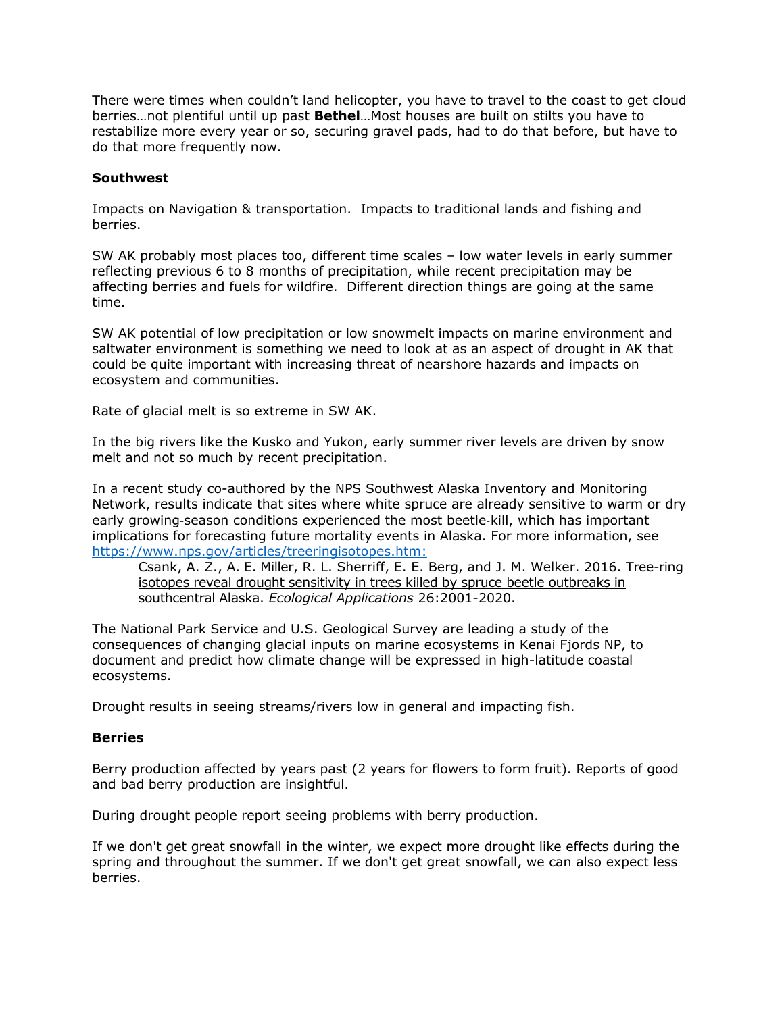There were times when couldn't land helicopter, you have to travel to the coast to get cloud berries…not plentiful until up past **Bethel**…Most houses are built on stilts you have to restabilize more every year or so, securing gravel pads, had to do that before, but have to do that more frequently now.

#### **Southwest**

Impacts on Navigation & transportation. Impacts to traditional lands and fishing and berries.

SW AK probably most places too, different time scales – low water levels in early summer reflecting previous 6 to 8 months of precipitation, while recent precipitation may be affecting berries and fuels for wildfire. Different direction things are going at the same time.

SW AK potential of low precipitation or low snowmelt impacts on marine environment and saltwater environment is something we need to look at as an aspect of drought in AK that could be quite important with increasing threat of nearshore hazards and impacts on ecosystem and communities.

Rate of glacial melt is so extreme in SW AK.

In the big rivers like the Kusko and Yukon, early summer river levels are driven by snow melt and not so much by recent precipitation.

In a recent study co-authored by the NPS Southwest Alaska Inventory and Monitoring Network, results indicate that sites where white spruce are already sensitive to warm or dry early growing‐season conditions experienced the most beetle‐kill, which has important implications for forecasting future mortality events in Alaska. For more information, see [https://www.nps.gov/articles/treeringisotopes.htm:](https://www.nps.gov/articles/treeringisotopes.htm)

Csank, A. Z., [A. E. Miller,](https://www.nps.gov/articles/amy-miller.htm) R. L. Sherriff, E. E. Berg, and J. M. Welker. 2016. Tree-ring [isotopes reveal drought sensitivity in trees killed by spruce beetle outbreaks in](https://esajournals.onlinelibrary.wiley.com/doi/full/10.1002/eap.1365)  [southcentral Alaska.](https://esajournals.onlinelibrary.wiley.com/doi/full/10.1002/eap.1365) *Ecological Applications* 26:2001-2020.

The National Park Service and U.S. Geological Survey are leading a study of the consequences of changing glacial inputs on marine ecosystems in Kenai Fjords NP, to document and predict how climate change will be expressed in high-latitude coastal ecosystems.

Drought results in seeing streams/rivers low in general and impacting fish.

#### **Berries**

Berry production affected by years past (2 years for flowers to form fruit). Reports of good and bad berry production are insightful.

During drought people report seeing problems with berry production.

If we don't get great snowfall in the winter, we expect more drought like effects during the spring and throughout the summer. If we don't get great snowfall, we can also expect less berries.